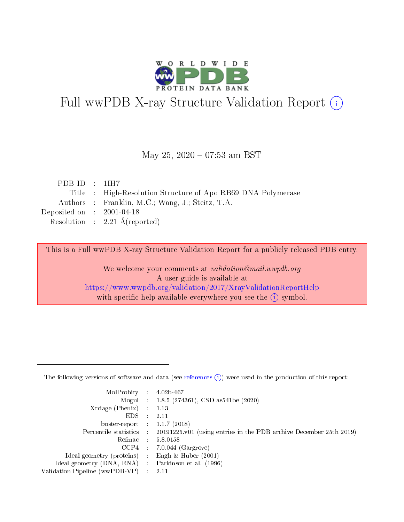

# Full wwPDB X-ray Structure Validation Report (i)

#### May 25,  $2020 - 07:53$  am BST

| PDBID : 1IH7                         |                                                              |
|--------------------------------------|--------------------------------------------------------------|
|                                      | Title : High-Resolution Structure of Apo RB69 DNA Polymerase |
|                                      | Authors : Franklin, M.C.; Wang, J.; Steitz, T.A.             |
| Deposited on $\therefore$ 2001-04-18 |                                                              |
|                                      | Resolution : $2.21 \text{ Å}$ (reported)                     |

This is a Full wwPDB X-ray Structure Validation Report for a publicly released PDB entry.

We welcome your comments at validation@mail.wwpdb.org A user guide is available at <https://www.wwpdb.org/validation/2017/XrayValidationReportHelp> with specific help available everywhere you see the  $(i)$  symbol.

The following versions of software and data (see [references](https://www.wwpdb.org/validation/2017/XrayValidationReportHelp#references)  $(1)$ ) were used in the production of this report:

| MolProbity :                   |               | $4.02b - 467$                                                               |
|--------------------------------|---------------|-----------------------------------------------------------------------------|
|                                |               | Mogul : $1.8.5$ (274361), CSD as 541be (2020)                               |
| $X$ triage (Phenix) :          |               | 1.13                                                                        |
| EDS.                           |               | 2.11                                                                        |
| buster-report : $1.1.7$ (2018) |               |                                                                             |
| Percentile statistics :        |               | $20191225 \text{v}01$ (using entries in the PDB archive December 25th 2019) |
| Refmac :                       |               | 5.8.0158                                                                    |
| $CCP4$ :                       |               | $7.0.044$ (Gargrove)                                                        |
| Ideal geometry (proteins) :    |               | Engh $\&$ Huber (2001)                                                      |
| Ideal geometry (DNA, RNA) :    |               | Parkinson et al. (1996)                                                     |
| Validation Pipeline (wwPDB-VP) | $\mathcal{L}$ | 2.11                                                                        |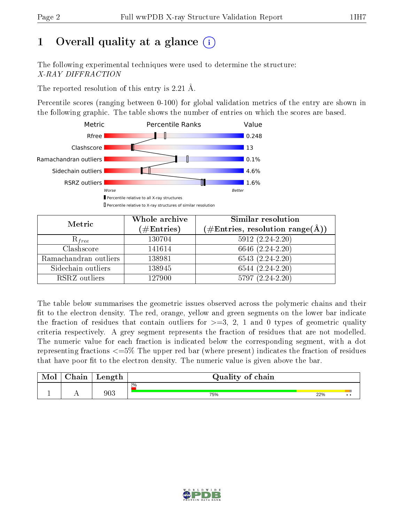# 1 [O](https://www.wwpdb.org/validation/2017/XrayValidationReportHelp#overall_quality)verall quality at a glance  $(i)$

The following experimental techniques were used to determine the structure: X-RAY DIFFRACTION

The reported resolution of this entry is 2.21 Å.

Percentile scores (ranging between 0-100) for global validation metrics of the entry are shown in the following graphic. The table shows the number of entries on which the scores are based.



| Metric                | Whole archive<br>$(\#\mathrm{Entries})$ | Similar resolution<br>$(\#\text{Entries},\,\text{resolution}\,\,\text{range}(\textup{\AA}))$ |
|-----------------------|-----------------------------------------|----------------------------------------------------------------------------------------------|
| $R_{free}$            | 130704                                  | $5912 (2.24 - 2.20)$                                                                         |
| Clashscore            | 141614                                  | 6646 (2.24-2.20)                                                                             |
| Ramachandran outliers | 138981                                  | $6543(2.24-2.20)$                                                                            |
| Sidechain outliers    | 138945                                  | $6544(2.24-2.20)$                                                                            |
| RSRZ outliers         | 127900                                  | 5797 (2.24-2.20)                                                                             |

The table below summarises the geometric issues observed across the polymeric chains and their fit to the electron density. The red, orange, yellow and green segments on the lower bar indicate the fraction of residues that contain outliers for  $>=3, 2, 1$  and 0 types of geometric quality criteria respectively. A grey segment represents the fraction of residues that are not modelled. The numeric value for each fraction is indicated below the corresponding segment, with a dot representing fractions  $\epsilon=5\%$  The upper red bar (where present) indicates the fraction of residues that have poor fit to the electron density. The numeric value is given above the bar.

| Mol | $\cap$ hain | Length  | Quality of chain |     |     |
|-----|-------------|---------|------------------|-----|-----|
|     |             |         | $2\%$            |     |     |
|     |             | $903\,$ | 75%              | 22% | . . |

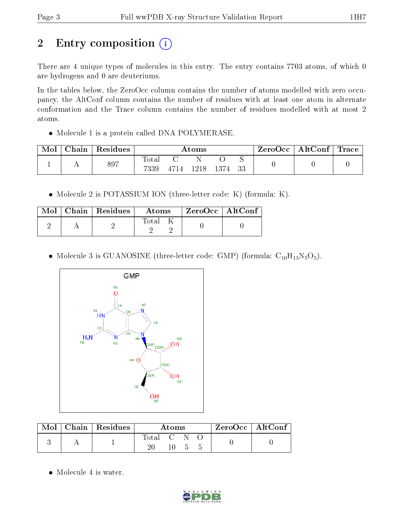# 2 Entry composition (i)

There are 4 unique types of molecules in this entry. The entry contains 7703 atoms, of which 0 are hydrogens and 0 are deuteriums.

In the tables below, the ZeroOcc column contains the number of atoms modelled with zero occupancy, the AltConf column contains the number of residues with at least one atom in alternate conformation and the Trace column contains the number of residues modelled with at most 2 atoms.

• Molecule 1 is a protein called DNA POLYMERASE.

| Chain | Residues | Atoms         |      |      |      | ZeroOcc | AltConf | $\text{Trace}$ |  |
|-------|----------|---------------|------|------|------|---------|---------|----------------|--|
|       | 897      | Total<br>7339 | 4714 | 1218 | 1374 | 33      |         |                |  |

• Molecule 2 is POTASSIUM ION (three-letter code: K) (formula: K).

|  | $Mol$   Chain   Residues | Atoms | $\mid$ ZeroOcc $\mid$ AltConf $\mid$ |  |
|--|--------------------------|-------|--------------------------------------|--|
|  |                          | Total |                                      |  |

• Molecule 3 is GUANOSINE (three-letter code: GMP) (formula:  $C_{10}H_{13}N_5O_5$ ).



|  | Mol   Chain   Residues | Atoms     |    |  |  | ZeroOcc   AltConf |
|--|------------------------|-----------|----|--|--|-------------------|
|  |                        | Total C N |    |  |  |                   |
|  |                        |           | 10 |  |  |                   |

• Molecule 4 is water.

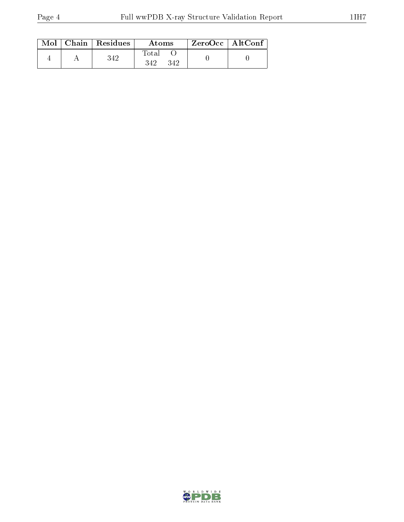|  | $Mol$   Chain   Residues | Atoms               | $ZeroOcc \mid AltConf$ |  |
|--|--------------------------|---------------------|------------------------|--|
|  | 342                      | Total<br>342<br>342 |                        |  |

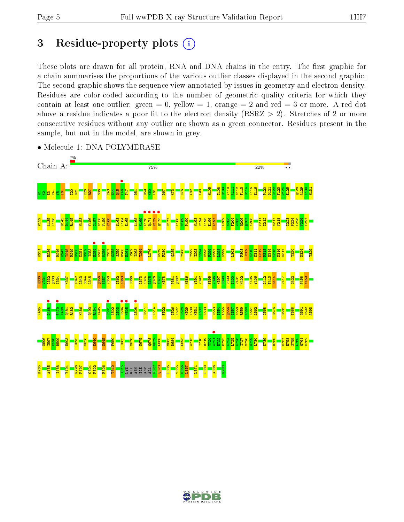# 3 Residue-property plots  $(i)$

These plots are drawn for all protein, RNA and DNA chains in the entry. The first graphic for a chain summarises the proportions of the various outlier classes displayed in the second graphic. The second graphic shows the sequence view annotated by issues in geometry and electron density. Residues are color-coded according to the number of geometric quality criteria for which they contain at least one outlier: green  $= 0$ , yellow  $= 1$ , orange  $= 2$  and red  $= 3$  or more. A red dot above a residue indicates a poor fit to the electron density (RSRZ  $> 2$ ). Stretches of 2 or more consecutive residues without any outlier are shown as a green connector. Residues present in the sample, but not in the model, are shown in grey.



• Molecule 1: DNA POLYMERASE

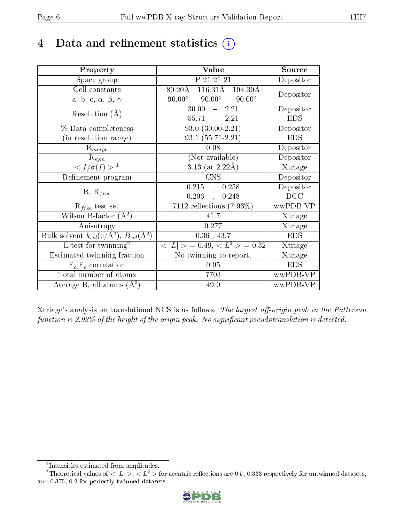# 4 Data and refinement statistics  $(i)$

| Property                                                         | Value                                                      | Source     |
|------------------------------------------------------------------|------------------------------------------------------------|------------|
| Space group                                                      | P 21 21 21                                                 | Depositor  |
| Cell constants                                                   | $116.31\text{\AA}$ $194.39\text{\AA}$<br>$80.20\text{\AA}$ |            |
| a, b, c, $\alpha$ , $\beta$ , $\gamma$                           | $90.00^\circ$<br>$90.00^\circ$<br>$90.00^\circ$            | Depositor  |
| Resolution $(A)$                                                 | 30.00<br>$-2.21$                                           | Depositor  |
|                                                                  | 55.71<br>$-2.21$                                           | <b>EDS</b> |
| % Data completeness                                              | $93.0 (30.00 - 2.21)$                                      | Depositor  |
| (in resolution range)                                            | 93.1 (55.71-2.21)                                          | <b>EDS</b> |
| $R_{merge}$                                                      | 0.08                                                       | Depositor  |
| $\mathrm{R}_{sym}$                                               | (Not available)                                            | Depositor  |
| $\langle I/\sigma(I) \rangle^{-1}$                               | $3.13$ (at 2.22Å)                                          | Xtriage    |
| Refinement program                                               | <b>CNS</b>                                                 | Depositor  |
|                                                                  | $0.215$ ,<br>0.258                                         | Depositor  |
| $R, R_{free}$                                                    | 0.206<br>0.248<br>$\ddot{\phantom{1}}$                     | DCC        |
| $R_{free}$ test set                                              | $7112$ reflections $(7.93\%)$                              | wwPDB-VP   |
| Wilson B-factor $(A^2)$                                          | 41.7                                                       | Xtriage    |
| Anisotropy                                                       | 0.277                                                      | Xtriage    |
| Bulk solvent $k_{sol}(\text{e}/\text{A}^3), B_{sol}(\text{A}^2)$ | $0.36$ , 43.7                                              | <b>EDS</b> |
| L-test for twinning <sup>2</sup>                                 | $< L >$ = 0.49, $< L^2 >$ = 0.32                           | Xtriage    |
| Estimated twinning fraction                                      | No twinning to report.                                     | Xtriage    |
| $F_o, F_c$ correlation                                           | 0.95                                                       | <b>EDS</b> |
| Total number of atoms                                            | 7703                                                       | wwPDB-VP   |
| Average B, all atoms $(A^2)$                                     | 49.0                                                       | wwPDB-VP   |

Xtriage's analysis on translational NCS is as follows: The largest off-origin peak in the Patterson function is 2.93% of the height of the origin peak. No significant pseudotranslation is detected.

<sup>&</sup>lt;sup>2</sup>Theoretical values of  $\langle |L| \rangle$ ,  $\langle L^2 \rangle$  for acentric reflections are 0.5, 0.333 respectively for untwinned datasets, and 0.375, 0.2 for perfectly twinned datasets.



<span id="page-5-1"></span><span id="page-5-0"></span><sup>1</sup> Intensities estimated from amplitudes.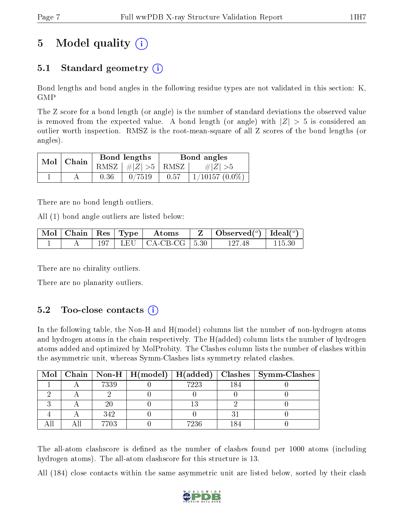# 5 Model quality  $(i)$

## 5.1 Standard geometry  $(i)$

Bond lengths and bond angles in the following residue types are not validated in this section: K, GMP

The Z score for a bond length (or angle) is the number of standard deviations the observed value is removed from the expected value. A bond length (or angle) with  $|Z| > 5$  is considered an outlier worth inspection. RMSZ is the root-mean-square of all Z scores of the bond lengths (or angles).

|  | $Mol$   Chain |      | Bond lengths                   | Bond angles |                  |  |
|--|---------------|------|--------------------------------|-------------|------------------|--|
|  |               |      | RMSZ $\mid \#Z \mid >5$   RMSZ |             | $\# Z  > 5$      |  |
|  |               | 0.36 | 0/7519                         | 0.57        | $1/10157(0.0\%)$ |  |

There are no bond length outliers.

All (1) bond angle outliers are listed below:

|  |  | $\mid$ Mol $\mid$ Chain $\mid$ Res $\mid$ Type $\mid$ Atoms | $\mathbf{Z}$   Observed( $^o$ )   Ideal( $^o$ ) |         |
|--|--|-------------------------------------------------------------|-------------------------------------------------|---------|
|  |  | $197$   LEU   CA-CB-CG   5.30                               | 127.48                                          | -115.30 |

There are no chirality outliers.

There are no planarity outliers.

#### $5.2$  Too-close contacts  $(i)$

In the following table, the Non-H and H(model) columns list the number of non-hydrogen atoms and hydrogen atoms in the chain respectively. The H(added) column lists the number of hydrogen atoms added and optimized by MolProbity. The Clashes column lists the number of clashes within the asymmetric unit, whereas Symm-Clashes lists symmetry related clashes.

|  |      | Mol   Chain   Non-H   H(model)   H(added) |      | $\mid$ Clashes $\mid$ Symm-Clashes |
|--|------|-------------------------------------------|------|------------------------------------|
|  | 7339 |                                           | 7223 |                                    |
|  |      |                                           |      |                                    |
|  |      |                                           |      |                                    |
|  | 342  |                                           |      |                                    |
|  | 7703 |                                           | 7236 |                                    |

The all-atom clashscore is defined as the number of clashes found per 1000 atoms (including hydrogen atoms). The all-atom clashscore for this structure is 13.

All (184) close contacts within the same asymmetric unit are listed below, sorted by their clash

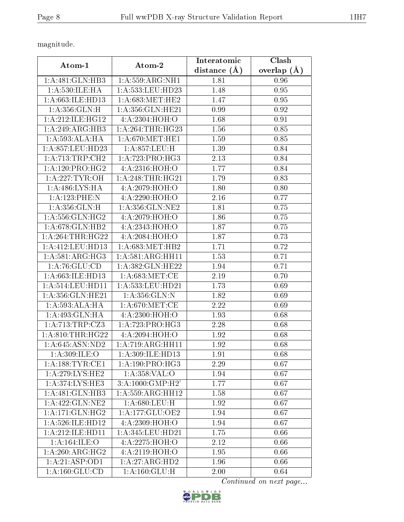magnitude.

| Atom-1                         | Atom-2                      | Interatomic      | Clash         |  |
|--------------------------------|-----------------------------|------------------|---------------|--|
|                                |                             | distance $(\AA)$ | overlap $(A)$ |  |
| 1:A:481:GLN:HB3                | 1: A: 559: ARG: NH1         | 1.81             | 0.96          |  |
| 1: A: 530: ILE: HA             | 1: A: 533: LEU: HD23        | 1.48             | 0.95          |  |
| 1:A:663:ILE:HD13               | 1: A:683:MET:HE2            | 1.47             | 0.95          |  |
| 1: A: 356: GLN: H              | 1: A: 356: GLN: HE21        | 0.99             | 0.92          |  |
| 1: A:212: ILE: HG12            | 4:A:2304:HOH:O              | 1.68             | 0.91          |  |
| 1:A:249:ARG:HB3                | 1: A:264:THR:HG23           | 1.56             | 0.85          |  |
| 1: A:593:ALA:HA                | 1: A:670:MET:HE1            | 1.59             | 0.85          |  |
| 1:A:857:LEU:HD23               | 1:A:857:LEU:H               | 1.39             | 0.84          |  |
| 1:A:713:TRP:CH2                | 1:A:723:PRO:HG3             | 2.13             | 0.84          |  |
| 1: A:120: PRO:HG2              | 4:A:2316:HOH:O              | 1.77             | 0.84          |  |
| 1: A:227:TYR:OH                | 1: A:248:THR:HG21           | 1.79             | 0.83          |  |
| 1: A:486: LYS: HA              | 4:A:2079:HOH:O              | 1.80             | 0.80          |  |
| 1:A:123:PHE:N                  | 4: A:2290:HOH:O             | 2.16             | 0.77          |  |
| 1: A: 356: GLN: H              | 1: A: 356: GLN: NE2         | 1.81             | 0.75          |  |
| 1: A: 556: GLN: HG2            | 4:A:2079:HOH:O              | 1.86             | 0.75          |  |
| 1:A:678:GLN:HB2                | 4:A:2343:HOH:O              | 1.87             | 0.75          |  |
| 1: A:264:THR:HG22              | 4: A:2084: HOH:O            | 1.87             | 0.73          |  |
| 1: A:412: LEU: HD13            | 1: A:683:MET:HB2            | 1.71             | 0.72          |  |
| 1: A:581: ARG:HG3              | 1:A:581:ARG:HH11            | 1.53             | 0.71          |  |
| 1: A:76: GLU:CD                | 1:A:382:GLN:HE22            | 1.94             | 0.71          |  |
| 1:A:663:ILE:HD13               | 1: A:683:MET:CE             | 2.19             | 0.70          |  |
| 1: A:514:LEU:HD11              | 1:A:533:LEU:HD21            | 1.73             | 0.69          |  |
| 1: A: 356: GLN: HE21           | 1: A: 356: GLN:N            | 1.82             | 0.69          |  |
| 1: A:593:ALA:HA                | 1: A:670:MET:CE             | 2.22             | 0.69          |  |
| 1:A:493:GLN:HA                 | 4:A:2300:HOH:O              | 1.93             | 0.68          |  |
| 1:A:713:TRP:CZ3                | 1:A:723:PRO:HG3             | 2.28             | 0.68          |  |
| 1: A:810:THR:HG22              | $4:A:2094:\overline{HOH:O}$ | 1.92             | 0.68          |  |
| 1: A:645: ASN:ND2              | 1:A:719:ARG:HH11            | 1.92             | 0.68          |  |
| 1: A:309: ILE:O                | 1: A:309: ILE: HD13         | 1.91             | 0.68          |  |
| 1:A:188:TYR:CE1                | 1:A:190:PRO:HG3             | 2.29             | 0.67          |  |
| 1: A:279: LYS: HE2             | 1:A:358:VAL:O               | 1.94             | 0.67          |  |
| $1:A:37\overline{4:LYS:HE3}$   | 3:A:1000:GMP:H2'            | 1.77             | 0.67          |  |
| 1:A:481:GLN:HB3                | 1: A: 559: ARG: HH12        | 1.58             | 0.67          |  |
| 1: A: 422: GLN: NE2            | 1: A:680:LEU:H              | 1.92             | 0.67          |  |
| 1:A:171:GLN:HG2                | 1:A:177:GLU:OE2             | 1.94             | 0.67          |  |
| 1: A:526: ILE: HD12            | 4: A: 2309: HOH:O           | 1.94             | 0.67          |  |
| 1:A:212:ILE:HD11               | 1:A:345:LEU:HD21            | 1.75             | 0.66          |  |
| 1: A: 164: ILE: O              | 4:A:2275:HOH:O              | 2.12             | 0.66          |  |
| 1: A:260:ARG:HG2               | 4:A:2119:HOH:O              | 1.95             | 0.66          |  |
| 1:A:21:ASP:OD1                 | 1:A:27:ARG:HD2              | 1.96             | 0.66          |  |
| $1: A: 160: \overline{GLU:CD}$ | 1: A: 160: GLU: H           | 2.00             | 0.64          |  |

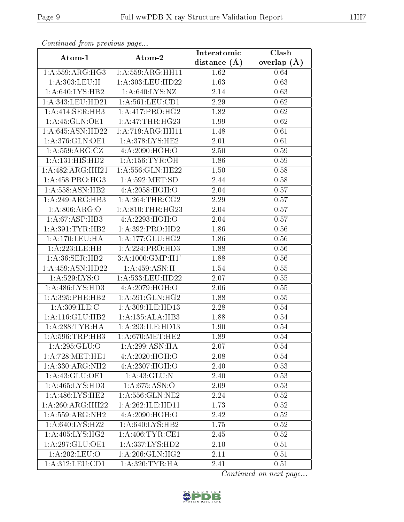| Commaca from previous page   |                                   | Interatomic    | Clash         |
|------------------------------|-----------------------------------|----------------|---------------|
| Atom-1                       | Atom-2                            | distance $(A)$ | overlap $(A)$ |
| 1:A:559:ARG:HG3              | 1: A: 559: ARG: HH11              | 1.62           | 0.64          |
| 1:A:303:LEU:H                | 1:A:303:LEU:HD22                  | 1.63           | 0.63          |
| 1: A:640: LYS: HB2           | 1: A:640: LYS: NZ                 | 2.14           | 0.63          |
| 1:A:343:LEU:HD21             | 1: A:561:LEU:CD1                  | 2.29           | 0.62          |
| 1:A:414:SER:HB3              | 1:A:417:PRO:HG2                   | 1.82           | 0.62          |
| 1:A:45:GLN:OE1               | 1: A:47:THR:HG23                  | 1.99           | 0.62          |
| 1:A:645:ASN:HD22             | 1:A:719:ARG:HH11                  | 1.48           | 0.61          |
| 1:A:376:GLN:OE1              | 1: A:378: LYS: HE2                | 2.01           | 0.61          |
| 1: A: 559: ARG: CZ           | 4:A:2090:HOH:O                    | 2.50           | 0.59          |
| 1: A: 131: HIS: HD2          | 1: A: 156: TYR: OH                | 1.86           | 0.59          |
| 1:A:482:ARG:HH21             | $1: A: 556: \overline{GLN: HE22}$ | 1.50           | 0.58          |
| 1: A: 458: PRO:HG3           | 1:A:592:MET:SD                    | 2.44           | 0.58          |
| 1:A:558:ASN:HB2              | 4:A:2058:HOH:O                    | 2.04           | 0.57          |
| 1:A:249:ARG:HB3              | 1: A:264:THR:CG2                  | 2.29           | 0.57          |
| 1:A:806:ARG:O                | 1: A:810:THR:HG23                 | 2.04           | 0.57          |
| 1:A:67:ASP:HB3               | 4:A:2293:HOH:O                    | 2.04           | 0.57          |
| 1:A:391:TYR:HB2              | 1:A:392:PRO:HD2                   | 1.86           | 0.56          |
| 1: A:170:LEU:HA              | 1:A:177:GLU:HG2                   | 1.86           | 0.56          |
| 1:A:223:ILE:HB               | 1:A:224:PRO:HD3                   | 1.88           | 0.56          |
| 1: A:36: SER: HB2            | 3: A:1000: GMP:H1'                | 1.88           | 0.56          |
| 1:A:459:ASN:HD22             | 1: A:459: ASN:H                   | 1.54           | 0.55          |
| 1:A:529:LYS:O                | 1:A:533:LEU:HD22                  | 2.07           | 0.55          |
| 1:A:486:LYS:HD3              | 4:A:2079:HOH:O                    | 2.06           | 0.55          |
| 1: A:395:PHE:HB2             | 1: A:591: GLN: HG2                | 1.88           | 0.55          |
| 1:A:309:ILE:C                | 1:A:309:ILE:HD13                  | 2.28           | 0.54          |
| $1:$ A:116: $GLU$ :HB2       | 1:A:135:ALA:HB3                   | 1.88           | 0.54          |
| 1: A:288:TYR:HA              | 1:A:293:ILE:HD13                  | 1.90           | 0.54          |
| 1: A:596:TRP:HB3             | 1: A:670:MET:HE2                  | 1.89           | 0.54          |
| 1:A:295:GLU:O                | 1:A:299:ASN:HA                    | 2.07           | 0.54          |
| 1: A:728: MET:HE1            | 4:A:2020:HOH:O                    | 2.08           | 0.54          |
| $1:A:\overline{330:ARG:NH2}$ | 4:A:2307:HOH:O                    | 2.40           | 0.53          |
| 1:A:43:GLU:OE1               | 1:A:43:GLU:N                      | 2.40           | 0.53          |
| 1:A:465:LYS:HD3              | 1: A:675: ASN:O                   | 2.09           | 0.53          |
| 1:A:486:LYS:HE2              | 1: A: 556: GLN: NE2               | 2.24           | 0.52          |
| 1:A:260:ARG:HH22             | 1: A:262: ILE: HDI1               | 1.73           | 0.52          |
| 1:A:559:ARG:NH2              | 4:A:2090:HOH:O                    | 2.42           | 0.52          |
| 1:A:640:LYS:HZ2              | 1: A:640: LYS: HB2                | 1.75           | 0.52          |
| 1: A:405: LYS: HG2           | 1: A:406: TYR: CE1                | 2.45           | 0.52          |
| 1:A:297:GLU:OE1              | $1:A:337:LYS:H\overline{D2}$      | 2.10           | 0.51          |
| 1:A:202:LEU:O                | 1: A:206: GLN: HG2                | 2.11           | 0.51          |
| 1:A:312:LEU:CD1              | 1: A:320: TYR: HA                 | 2.41           | 0.51          |

Continued from previous page.

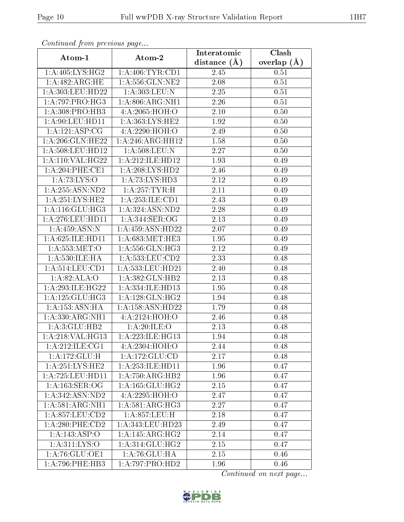|                        | Continuea from previous page<br>Clash<br>Interatomic |                   |               |  |  |  |  |  |
|------------------------|------------------------------------------------------|-------------------|---------------|--|--|--|--|--|
| Atom-1                 | Atom-2                                               | distance $(A)$    | overlap $(A)$ |  |  |  |  |  |
| 1: A:405: LYS: HG2     | 1: A:406: TYR: CD1                                   | 2.45              | 0.51          |  |  |  |  |  |
| 1:A:482:ARG:HE         | 1: A: 556: GLN: NE2                                  | 2.08              | $0.51\,$      |  |  |  |  |  |
| 1:A:303:LEU:HD22       | 1:A:303:LEU:N                                        | 2.25              | 0.51          |  |  |  |  |  |
| 1:A:797:PRO:HG3        | 1: A:806:ARG:NH1                                     | 2.26              | 0.51          |  |  |  |  |  |
| 1: A:308: PRO:HB3      | 4:A:2065:HOH:O                                       | 2.10              | 0.50          |  |  |  |  |  |
| 1:A:90:LEU:HD11        | 1:A:363:LYS:HE2                                      | 1.92              | 0.50          |  |  |  |  |  |
| 1:A:121:ASP:CG         | 4: A:2290:HOH:O                                      | 2.49              | 0.50          |  |  |  |  |  |
| 1:A:206:GLN:HE22       | 1:A:246:ARG:HH12                                     | 1.58              | 0.50          |  |  |  |  |  |
| 1:A:508:LEU:HD12       | 1: A:508:LEU: N                                      | 2.27              | 0.50          |  |  |  |  |  |
| 1:A:110:VAL:HG22       | 1:A:212:ILE:HD12                                     | 1.93              | 0.49          |  |  |  |  |  |
| 1: A:204:PHE:CE1       | 1: A:208: LYS: HD2                                   | 2.46              | 0.49          |  |  |  |  |  |
| 1: A:73: LYS:O         | 1:A:73:LYS:HD3                                       | 2.12              | 0.49          |  |  |  |  |  |
| 1: A: 255: ASN: ND2    | 1:A:257:TYR:H                                        | $2.11\,$          | 0.49          |  |  |  |  |  |
| 1: A:251:LYS:HE2       | 1:A:253:ILE:CD1                                      | 2.43              | 0.49          |  |  |  |  |  |
| 1: A:116: GLU:HG3      | 1:A:324:ASN:ND2                                      | 2.28              | 0.49          |  |  |  |  |  |
| 1:A:276:LEU:HD11       | 1:A:344:SER:OG                                       | 2.13              | 0.49          |  |  |  |  |  |
| 1:A:459:ASN:N          | 1:A:459:ASN:HD22                                     | 2.07              | 0.49          |  |  |  |  |  |
| 1: A:625: ILE: HD11    | 1: A:683:MET:HE3                                     | 1.95              | 0.49          |  |  |  |  |  |
| 1: A: 553: MET:O       | 1:A:556:GLN:HG3                                      | $\overline{2.12}$ | 0.49          |  |  |  |  |  |
| 1: A: 530: ILE: HA     | 1: A: 533: LEU: CD2                                  | 2.33              | 0.48          |  |  |  |  |  |
| 1: A:514:LEU:CD1       | 1:A:533:LEU:HD21                                     | 2.40              | 0.48          |  |  |  |  |  |
| 1:A:82:ALA:O           | 1:A:382:GLN:HB2                                      | 2.13              | 0.48          |  |  |  |  |  |
| 1:A:293:ILE:HG22       | 1:A:334:ILE:HD13                                     | 1.95              | 0.48          |  |  |  |  |  |
| 1: A: 125: GLU: HG3    | 1:A:128:GLN:HG2                                      | 1.94              | 0.48          |  |  |  |  |  |
| 1: A: 153: ASN: HA     | 1:A:158:ASN:HD22                                     | 1.79              | 0.48          |  |  |  |  |  |
| 1:A:330:ARG:NH1        | 4:A:2124:HOH:O                                       | 2.46              | 0.48          |  |  |  |  |  |
| 1:A:3:GLU:HB2          | 1:A:20:ILE:O                                         | 2.13              | 0.48          |  |  |  |  |  |
| 1:A:218:VAL:HG13       | 1:A:223:ILE:HG13                                     | 1.94              | 0.48          |  |  |  |  |  |
| 1: A:212: ILE:CG1      | 4:A:2304:HOH:O                                       | 2.44              | 0.48          |  |  |  |  |  |
| 1:A:172:GLU:H          | 1: A: 172: GLU: CD                                   | 2.17              | 0.48          |  |  |  |  |  |
| 1: A:251:LYS:HE2       | 1:A:253:ILE:HD11                                     | 1.96              | 0.47          |  |  |  |  |  |
| 1: A:725:LEU:HD11      | 1:A:750:ARG:HB2                                      | 1.96              | 0.47          |  |  |  |  |  |
| 1: A: 163: SER: OG     | 1: A: 165: GLU: HG2                                  | 2.15              | 0.47          |  |  |  |  |  |
| 1:A:342:ASN:ND2        | 4:A:2295:HOH:O                                       | 2.47              | 0.47          |  |  |  |  |  |
| 1:A:581:ARG:NH1        | 1:A:581:ARG:HG3                                      | 2.27              | 0.47          |  |  |  |  |  |
| 1: A:857:LEU:CD2       | 1:A:857:LEU:H                                        | 2.18              | 0.47          |  |  |  |  |  |
| $1: A:280:$ PHE: $CD2$ | 1: A: 343: LEU: HD23                                 | 2.49              | 0.47          |  |  |  |  |  |
| 1:A:143:ASP:O          | 1:A:145:ARG:HG2                                      | 2.14              | 0.47          |  |  |  |  |  |
| 1:A:311:LYS:O          | 1: A:314: GLU: HG2                                   | 2.15              | 0.47          |  |  |  |  |  |
| 1: A:76: GLU:OE1       | 1:A:76:GLU:HA                                        | 2.15              | 0.46          |  |  |  |  |  |
| 1: A:796:PHE:HB3       | 1:A:797:PRO:HD2                                      | 1.96              | 0.46          |  |  |  |  |  |

Continued from previous page.

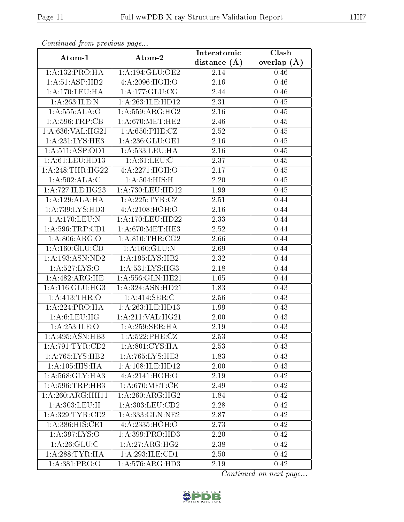| Continuea from previous page<br>Clash<br>Interatomic |                                              |                   |               |  |  |  |  |
|------------------------------------------------------|----------------------------------------------|-------------------|---------------|--|--|--|--|
| Atom-1                                               | Atom-2                                       | distance $(A)$    | overlap $(A)$ |  |  |  |  |
| 1:A:132:PRO:HA                                       | 1: A: 194: GLU: OE2                          | 2.14              | 0.46          |  |  |  |  |
| 1:A:51:ASP:HB2                                       | 4:A:2096:HOH:O                               | 2.16              | $0.46\,$      |  |  |  |  |
| 1: A:170:LEU:HA                                      | 1: A: 177: GLU: CG                           | 2.44              | 0.46          |  |  |  |  |
| 1:A:263:ILE:N                                        | 1:A:263:ILE:HD12                             | 2.31              | 0.45          |  |  |  |  |
| 1:A:555:ALA:O                                        | 1:A:559:ARG:HG2                              | 2.16              | 0.45          |  |  |  |  |
| 1:A:596:TRP:CB                                       | 1: A:670:MET:HE2                             | 2.46              | $0.45\,$      |  |  |  |  |
| 1:A:636:VAL:HG21                                     | 1: A:650: PHE: CZ                            | 2.52              | 0.45          |  |  |  |  |
| $1:A:231:LY\overline{S:HE3}$                         | 1:A:236:GLU:OE1                              | 2.16              | 0.45          |  |  |  |  |
| 1: A:511: ASP:OD1                                    | 1:A:533:LEU:HA                               | $\overline{2}.16$ | 0.45          |  |  |  |  |
| 1: A: 61: LEU: HD13                                  | 1: A:61:LEU: C                               | 2.37              | 0.45          |  |  |  |  |
| 1: A:248:THR:HG22                                    | 4:A:2271:HOH:O                               | 2.17              | 0.45          |  |  |  |  |
| 1:A:502:ALA:C                                        | 1:A:504:HIS:H                                | 2.20              | 0.45          |  |  |  |  |
| 1: A:727: ILE: HG23                                  | 1:A:730:LEU:HD12                             | 1.99              | 0.45          |  |  |  |  |
| 1:A:129:ALA:HA                                       | 1: A:225: TYR: CZ                            | 2.51              | 0.44          |  |  |  |  |
| 1:A:739:LYS:HD3                                      | 4:A:2108:HOH:O                               | 2.16              | 0.44          |  |  |  |  |
| 1:A:170:LEU:N                                        | 1: A:170: LEU: HD22                          | 2.33              | 0.44          |  |  |  |  |
| 1: A:596:TRP:CD1                                     | $1: A:670: \overline{\text{MET}:\text{HE}3}$ | $\overline{2.52}$ | 0.44          |  |  |  |  |
| 1: A:806: ARG:O                                      | 1: A:810:THR:CG2                             | 2.66              | 0.44          |  |  |  |  |
| 1:A:160:GLU:CD                                       | $1:$ A:160: $GLU:N$                          | 2.69              | 0.44          |  |  |  |  |
| 1: A: 193: ASN: ND2                                  | 1:A:195:LYS:HB2                              | 2.32              | 0.44          |  |  |  |  |
| 1:A:527:LYS:O                                        | 1: A: 531: LYS: HG3                          | 2.18              | 0.44          |  |  |  |  |
| 1: A:482:ARG:HE                                      | 1:A:556: GLN: HE21                           | 1.65              | 0.44          |  |  |  |  |
| 1: A:116: GLU:HG3                                    | 1:A:324:ASN:HD21                             | 1.83              | 0.43          |  |  |  |  |
| 1: A:413:THR:O                                       | 1: A:414: SER: C                             | 2.56              | 0.43          |  |  |  |  |
| 1:A:224:PRO:HA                                       | 1:A:263:ILE:HD13                             | 1.99              | 0.43          |  |  |  |  |
| 1: A:6: LEU: HG                                      | 1:A:211:VAL:HG21                             | 2.00              | 0.43          |  |  |  |  |
| 1: A:253: ILE: O                                     | 1:A:259:SER:HA                               | 2.19              | 0.43          |  |  |  |  |
| 1:A:495:ASN:HB3                                      | 1: A:522: PHE: CZ                            | 2.53              | 0.43          |  |  |  |  |
| 1:A:791:TYR:CD2                                      | 1: A:801:CYS:HA                              | 2.53              | 0.43          |  |  |  |  |
| 1:A:765:LYS:HB2                                      | 1:A:765:LYS:HE3                              | 1.83              | 0.43          |  |  |  |  |
| 1: A: 105: HIS: HA                                   | 1: A:108: ILE:HD12                           | 2.00              | 0.43          |  |  |  |  |
| 1: A:568: GLY:HA3                                    | 4: A:2141:HOH:O                              | 2.19              | 0.42          |  |  |  |  |
| 1: A:596:TRP:HB3                                     | 1: A:670:MET:CE                              | 2.49              | 0.42          |  |  |  |  |
| 1:A:260:ARG:HH11                                     | 1:A:260:ARG:HG2                              | 1.84              | 0.42          |  |  |  |  |
| 1:A:303:LEU:H                                        | 1: A: 303: LEU: CD2                          | 2.28              | 0.42          |  |  |  |  |
| 1: A:329: TYR: CD2                                   | 1:A:333:GLN:NE2                              | 2.87              | 0.42          |  |  |  |  |
| 1:A:386:HIS:CE1                                      | 4:A:2335:HOH:O                               | 2.73              | 0.42          |  |  |  |  |
| 1:A:397:LYS:O                                        | 1:A:399:PRO:HD3                              | 2.20              | 0.42          |  |  |  |  |
| 1: A:26: GLU: C                                      | $1:A:27:ARG:H\overline{G2}$                  | 2.38              | 0.42          |  |  |  |  |
| 1:A:288:TYR:HA                                       | 1:A:293:ILE:CD1                              | 2.50              | 0.42          |  |  |  |  |
| 1: A:381: PRO:O                                      | $1:A:576:AR\overline{G:HD3}$                 | 2.19              | 0.42          |  |  |  |  |

Continued from previous page.

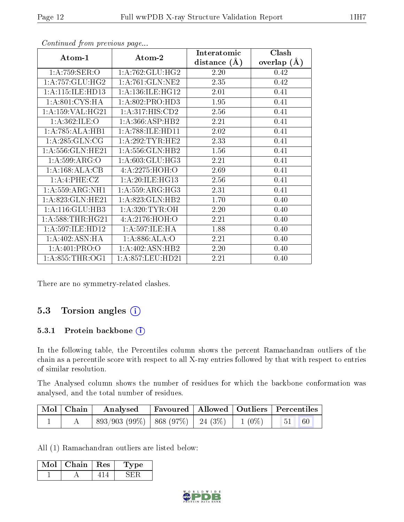| Atom-1               | Atom-2               | Interatomic<br>distance $(A)$ | Clash<br>overlap $(A)$ |  |
|----------------------|----------------------|-------------------------------|------------------------|--|
| 1:A:759:SER:O        | 1: A:762: GLU: HG2   | 2.20                          | 0.42                   |  |
| 1: A: 757: GLU: HG2  | $1:$ A:761:GLN:NE2   | 2.35                          | 0.42                   |  |
| 1:A:115:ILE:HD13     | 1: A: 136: ILE: HG12 | 2.01                          | 0.41                   |  |
| 1: A:801: CYS:HA     | 1: A:802: PRO:HD3    | 1.95                          | 0.41                   |  |
| 1: A: 159: VAL: HG21 | 1: A:317: HIS: CD2   | 2.56                          | 0.41                   |  |
| 1: A:362: ILE: O     | 1:A:366:ASP:HB2      | 2.21                          | 0.41                   |  |
| 1:A:785:ALA:HB1      | 1:A:788:ILE:HD11     | 2.02                          | 0.41                   |  |
| 1: A:285: GLN:CG     | 1: A:292:TYR:HE2     | 2.33                          | 0.41                   |  |
| 1:A:556:GLN:HE21     | 1:A:556:GLN:HB2      | 1.56                          | 0.41                   |  |
| 1: A:599: ARG:O      | 1: A:603: GLU:HG3    | 2.21                          | 0.41                   |  |
| 1:A:168:ALA:CB       | 4:A:2275:HOH:O       | 2.69                          | 0.41                   |  |
| 1:A:4:PHE:CZ         | 1:A:20:ILE:HG13      | 2.56                          | 0.41                   |  |
| 1: A:559: ARG: NH1   | 1: A:559: ARG: HG3   | 2.31                          | 0.41                   |  |
| 1: A:823: GLN: HE21  | 1: A:823: GLN: HB2   | 1.70                          | 0.40                   |  |
| 1:A:116:GLU:HB3      | 1: A:320: TYR: OH    | 2.20                          | 0.40                   |  |
| 1: A:588:THR:HG21    | 4: A:2176:HOH:O      | 2.21                          | 0.40                   |  |
| 1:A:597:ILE:HD12     | 1:A:597:ILE:HA       | 1.88                          | 0.40                   |  |
| 1:A:402:ASN:HA       | 1:A:886:ALA:O        | 2.21                          | 0.40                   |  |
| 1: A:401: PRO:O      | 1:A:402:ASN:HB2      | 2.20                          | 0.40                   |  |
| 1: A:855:THR:OG1     | 1: A:857:LEU:HD21    | 2.21                          | 0.40                   |  |

Continued from previous page...

There are no symmetry-related clashes.

#### 5.3 Torsion angles (i)

#### 5.3.1 Protein backbone (i)

In the following table, the Percentiles column shows the percent Ramachandran outliers of the chain as a percentile score with respect to all X-ray entries followed by that with respect to entries of similar resolution.

The Analysed column shows the number of residues for which the backbone conformation was analysed, and the total number of residues.

| Mol   Chain | Favoured   Allowed   Outliers   Percentiles<br>Analysed    |  |  |  |  |
|-------------|------------------------------------------------------------|--|--|--|--|
|             | $893/903$ (99\%)   868 (97\%)   24 (3\%)   1 (0\%)   51 60 |  |  |  |  |

All (1) Ramachandran outliers are listed below:

| Mol | Chain $\vert$ Res | L'vpe |
|-----|-------------------|-------|
|     |                   |       |

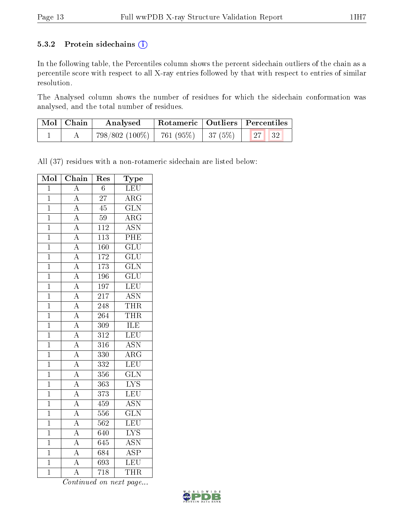#### 5.3.2 Protein sidechains (i)

In the following table, the Percentiles column shows the percent sidechain outliers of the chain as a percentile score with respect to all X-ray entries followed by that with respect to entries of similar resolution.

The Analysed column shows the number of residues for which the sidechain conformation was analysed, and the total number of residues.

| Mol   Chain | Rotameric   Outliers   Percentiles<br>Analysed      |  |  |  |  |
|-------------|-----------------------------------------------------|--|--|--|--|
|             | $798/802$ (100\%)   761 (95\%)   37 (5\%)   27   32 |  |  |  |  |

All (37) residues with a non-rotameric sidechain are listed below:

| Mol            | $\overline{\text{Chain}}$           | Res                         | Type                    |
|----------------|-------------------------------------|-----------------------------|-------------------------|
| $\overline{1}$ | $\overline{\rm A}$                  | $\overline{6}$              | <b>LEU</b>              |
| $\overline{1}$ | $\overline{A}$                      | $\overline{27}$             | $\overline{\rm{ARG}}$   |
| $\overline{1}$ | $\overline{A}$                      | $\overline{45}$             | $\overline{\text{GLN}}$ |
| $\overline{1}$ | $\overline{A}$                      | 59                          | $\overline{\rm{ARG}}$   |
| $\mathbf 1$    | $\overline{A}$                      | <sup>112</sup>              | $\overline{\text{ASN}}$ |
| $\mathbf{1}$   | $\overline{A}$                      | 113                         | $P\overline{HE}$        |
| $\overline{1}$ | $\overline{A}$                      | 160                         | $\overline{\text{GLU}}$ |
| $\overline{1}$ | $\overline{A}$                      | $\overline{172}$            | $\overline{\text{GLU}}$ |
| $\mathbf{1}$   | $\overline{A}$                      | 173                         | $\overline{\text{GLN}}$ |
| $\mathbf 1$    | $\overline{A}$                      | 196                         | $\overline{\text{GLU}}$ |
| $\overline{1}$ | $\frac{\overline{A}}{\overline{A}}$ | $\overline{197}$            | LEU                     |
| $\overline{1}$ |                                     | $2\overline{1}\overline{7}$ | <b>ASN</b>              |
| $\overline{1}$ |                                     | 248                         | THR                     |
| $\mathbf{1}$   | $\overline{A}$                      | 264                         | <b>THR</b>              |
| $\mathbf{1}$   | $\overline{A}$                      | 309                         | <b>ILE</b>              |
| $\overline{1}$ | $\frac{\overline{A}}{\overline{A}}$ | $\overline{312}$            | LEU                     |
| $\overline{1}$ |                                     | 316                         | $\overline{\text{ASN}}$ |
| $\overline{1}$ |                                     | 330                         | $\overline{\rm{ARG}}$   |
| $\mathbf{1}$   | $\overline{A}$                      | 332                         | $\overline{\text{LEU}}$ |
| $\mathbf 1$    | $\overline{A}$                      | 356                         | $\overline{\text{GLN}}$ |
| $\overline{1}$ |                                     | 363                         | $\overline{\text{LYS}}$ |
| $\overline{1}$ | $\frac{\overline{A}}{\overline{A}}$ | 373                         | LEU                     |
| $\overline{1}$ | $\overline{A}$                      | 459                         | $\overline{\rm ASN}$    |
| $\mathbf{1}$   | $\overline{A}$                      | 556                         | $\overline{\text{GLN}}$ |
| $\overline{1}$ | $\overline{A}$                      | 562                         | LEU                     |
| $\mathbf{1}$   | $\frac{\overline{A}}{A}$            | $\overline{6}$ 40           | $\overline{\text{LYS}}$ |
| $\overline{1}$ |                                     | 645                         | $\overline{\text{ASN}}$ |
| $\overline{1}$ | $\overline{A}$                      | $\overline{684}$            | $\overline{\text{ASP}}$ |
| $\overline{1}$ | $\overline{A}$                      | 693                         | LEU                     |
| $\overline{1}$ | Ā                                   | 718                         | $\overline{\text{THR}}$ |

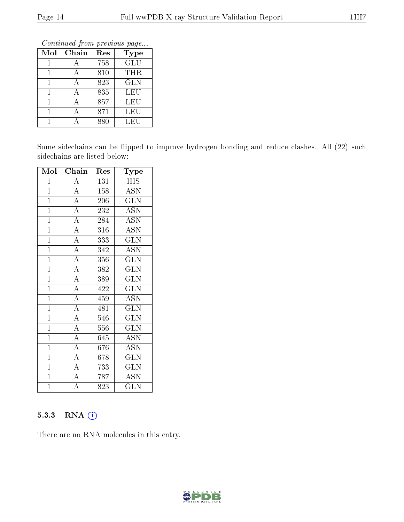Continued from previous page...

| Mol | Chain | Res | Type       |
|-----|-------|-----|------------|
|     | А     | 758 | <b>GLU</b> |
|     | А     | 810 | THR        |
|     | А     | 823 | <b>GLN</b> |
|     | А     | 835 | <b>LEU</b> |
|     | А     | 857 | LEU        |
|     |       | 871 | <b>LEU</b> |
|     |       | 880 | LEU        |

Some sidechains can be flipped to improve hydrogen bonding and reduce clashes. All (22) such sidechains are listed below:

| Mol            | Chain                               | Res              | Type                      |
|----------------|-------------------------------------|------------------|---------------------------|
| $\mathbf 1$    | $\boldsymbol{A}$                    | 131              | <b>HIS</b>                |
| $\overline{1}$ | $\overline{A}$                      | 158              | $\overline{\mathrm{ASN}}$ |
| $\overline{1}$ | $\frac{\overline{A}}{\overline{A}}$ | 206              | <b>GLN</b>                |
| $\mathbf{1}$   |                                     | 232              | <b>ASN</b>                |
| $\mathbf{1}$   | $\overline{A}$                      | 284              | $\overline{\mathrm{ASN}}$ |
| $\mathbf{1}$   | $\overline{A}$                      | 316              | <b>ASN</b>                |
| $\overline{1}$ | $\overline{A}$                      | 333              | $\overline{\text{GLN}}$   |
| $\mathbf{1}$   | $\overline{A}$                      | 342              | <b>ASN</b>                |
| $\overline{1}$ | $\overline{A}$                      | 356              | GLN                       |
| $\overline{1}$ | $\overline{A}$                      | 382              | $\overline{\text{GLN}}$   |
| $\mathbf{1}$   | $\overline{A}$                      | 389              | <b>GLN</b>                |
| $\mathbf{1}$   | $\overline{A}$                      | 422              | $\overline{\text{GLN}}$   |
| $\overline{1}$ | $\overline{A}$                      | 459              | <b>ASN</b>                |
| $\overline{1}$ | $\overline{A}$                      | 481              | $\widetilde{{\rm GLN}}$   |
| $\mathbf{1}$   | $\overline{A}$                      | 546              | GLN                       |
| $\overline{1}$ | $\overline{A}$                      | 556              | <b>GLN</b>                |
| $\overline{1}$ | $\overline{A}$                      | 645              | $\overline{\mathrm{ASN}}$ |
| $\overline{1}$ | $\overline{A}$                      | 676              | <b>ASN</b>                |
| $\overline{1}$ | $\overline{A}$                      | 678              | <b>GLN</b>                |
| $\mathbf{1}$   | $\overline{A}$                      | 733              | GLN                       |
| $\overline{1}$ | $\overline{A}$                      | 787              | <b>ASN</b>                |
| $\overline{1}$ | $\overline{\rm A}$                  | $\overline{8}23$ | <b>GLN</b>                |

#### 5.3.3 RNA (i)

There are no RNA molecules in this entry.

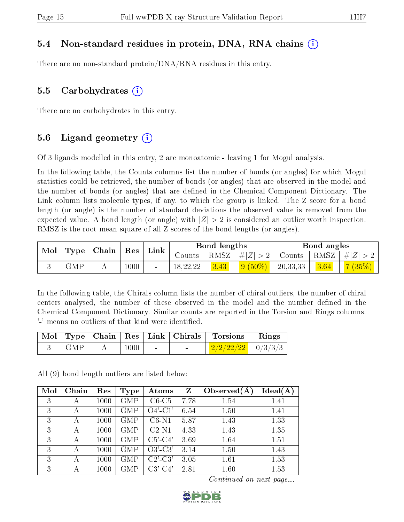#### 5.4 Non-standard residues in protein, DNA, RNA chains (i)

There are no non-standard protein/DNA/RNA residues in this entry.

#### 5.5 Carbohydrates  $(i)$

There are no carbohydrates in this entry.

#### 5.6 Ligand geometry  $(i)$

Of 3 ligands modelled in this entry, 2 are monoatomic - leaving 1 for Mogul analysis.

In the following table, the Counts columns list the number of bonds (or angles) for which Mogul statistics could be retrieved, the number of bonds (or angles) that are observed in the model and the number of bonds (or angles) that are dened in the Chemical Component Dictionary. The Link column lists molecule types, if any, to which the group is linked. The Z score for a bond length (or angle) is the number of standard deviations the observed value is removed from the expected value. A bond length (or angle) with  $|Z| > 2$  is considered an outlier worth inspection. RMSZ is the root-mean-square of all Z scores of the bond lengths (or angles).

| $\bf{Mol}$<br>$\Gamma$ Type |            | $\mid$ Chain $\mid$ Res |      | Link   |              | <b>Bond lengths</b> |               |          | Bond angles |        |
|-----------------------------|------------|-------------------------|------|--------|--------------|---------------------|---------------|----------|-------------|--------|
|                             |            |                         |      | Counts | $+$ RMSZ $+$ | #Z  > 2             | Counts   RMSZ |          | $\# Z >$    |        |
|                             | <b>GMP</b> |                         | 1000 |        | 18,22,22     | 3.43                | $9(50\%)$     | 20,33,33 | 3.64        | 7(35%) |

In the following table, the Chirals column lists the number of chiral outliers, the number of chiral centers analysed, the number of these observed in the model and the number defined in the Chemical Component Dictionary. Similar counts are reported in the Torsion and Rings columns. '-' means no outliers of that kind were identified.

|     |          |                          |                          | Mol   Type   Chain   Res   Link   Chirals   Torsions   Rings |  |
|-----|----------|--------------------------|--------------------------|--------------------------------------------------------------|--|
| GMP | $1000\,$ | <b>Contract Contract</b> | <b>Contract Contract</b> | $\frac{2}{2/2/22/22}$   0/3/3/3                              |  |

All (9) bond length outliers are listed below:

| Mol | Chain | Res  | <b>Type</b> | Atoms      | Z    | Observed $(A$ | Ideal(A) |
|-----|-------|------|-------------|------------|------|---------------|----------|
| 3   |       | 1000 | <b>GMP</b>  | $C6-C5$    | 7.78 | 1.54          | 1.41     |
| 3   |       | 1000 | <b>GMP</b>  | $O4'$ -C1' | 6.54 | 1.50          | 1.41     |
| 3   |       | 1000 | <b>GMP</b>  | $C6-N1$    | 5.87 | 1.43          | 1.33     |
| 3   |       | 1000 | <b>GMP</b>  | $C2-N1$    | 4.33 | 1.43          | 1.35     |
| 3   |       | 1000 | <b>GMP</b>  | $C5'-C4'$  | 3.69 | 1.64          | 1.51     |
| 3   | А     | 1000 | <b>GMP</b>  | $O3'-C3'$  | 3.14 | 1.50          | 1.43     |
| 3   |       | 1000 | <b>GMP</b>  | $C2'-C3'$  | 3.05 | 1.61          | 1.53     |
| 3   |       | 1000 | <b>GMP</b>  | $C3'-C4'$  | 2.81 | 1.60          | 1.53     |

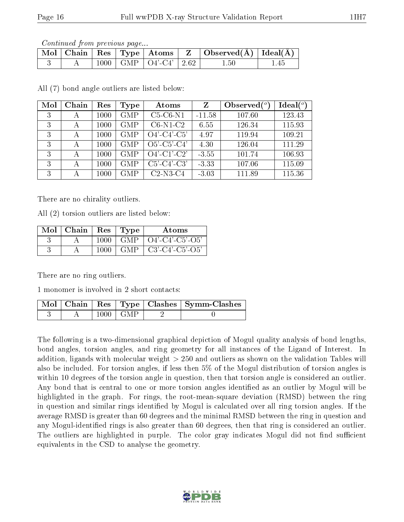Continued from previous page...

|  |  | $\mid$ Mol $\mid$ Chain $\mid$ Res $\mid$ Type $\mid$ Atoms $\mid$ | $\vert$ Observed( $\AA$ ) $\vert$ Ideal( $\AA$ ) |  |
|--|--|--------------------------------------------------------------------|--------------------------------------------------|--|
|  |  | $1000$   GMP   O4'-C4'   2.62                                      | $1.50\,$                                         |  |

All (7) bond angle outliers are listed below:

| Mol | Chain | Res  | Type       | Atoms                   | Z        | Observed $(°)$ | Ideal $(°)$ |
|-----|-------|------|------------|-------------------------|----------|----------------|-------------|
| 3   | А     | 1000 | <b>GMP</b> | $C5-C6-N1$              | $-11.58$ | 107.60         | 123.43      |
| 3   | А     | 1000 | <b>GMP</b> | $C6-N1-C2$              | 6.55     | 126.34         | 115.93      |
| 3   | А     | 1000 | <b>GMP</b> | $O4'-C4'-\overline{C5}$ | 4.97     | 119.94         | 109.21      |
| 3   | А     | 1000 | <b>GMP</b> | $O5'-C5'-C4'$           | 4.30     | 126.04         | 111.29      |
| 3   | А     | 1000 | <b>GMP</b> | $O4'$ -C1'-C2'          | $-3.55$  | 101.74         | 106.93      |
| 3   | А     | 1000 | <b>GMP</b> | $C5'-C4'-C3'$           | $-3.33$  | 107.06         | 115.09      |
| 3   | А     | 1000 | <b>GMP</b> | $C2-N3-C4$              | $-3.03$  | 111.89         | 115.36      |

There are no chirality outliers.

All (2) torsion outliers are listed below:

| Mol | Chain | <b>Res</b> | Type   | Atoms              |
|-----|-------|------------|--------|--------------------|
|     |       | 1000       | GMP    | $O4'$ -C4'-C5'-O5' |
|     |       | 1000       | -GMP - | $C3'-C4'-C5'-O5'$  |

There are no ring outliers.

1 monomer is involved in 2 short contacts:

|  |                        | Mol   Chain   Res   Type   Clashes   Symm-Clashes |
|--|------------------------|---------------------------------------------------|
|  | $1000 \mid \text{GMP}$ |                                                   |

The following is a two-dimensional graphical depiction of Mogul quality analysis of bond lengths, bond angles, torsion angles, and ring geometry for all instances of the Ligand of Interest. In addition, ligands with molecular weight > 250 and outliers as shown on the validation Tables will also be included. For torsion angles, if less then 5% of the Mogul distribution of torsion angles is within 10 degrees of the torsion angle in question, then that torsion angle is considered an outlier. Any bond that is central to one or more torsion angles identified as an outlier by Mogul will be highlighted in the graph. For rings, the root-mean-square deviation (RMSD) between the ring in question and similar rings identified by Mogul is calculated over all ring torsion angles. If the average RMSD is greater than 60 degrees and the minimal RMSD between the ring in question and any Mogul-identified rings is also greater than 60 degrees, then that ring is considered an outlier. The outliers are highlighted in purple. The color gray indicates Mogul did not find sufficient equivalents in the CSD to analyse the geometry.

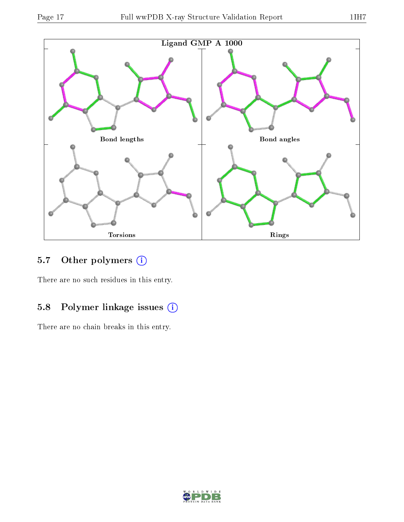

## 5.7 [O](https://www.wwpdb.org/validation/2017/XrayValidationReportHelp#nonstandard_residues_and_ligands)ther polymers (i)

There are no such residues in this entry.

## 5.8 Polymer linkage issues (i)

There are no chain breaks in this entry.

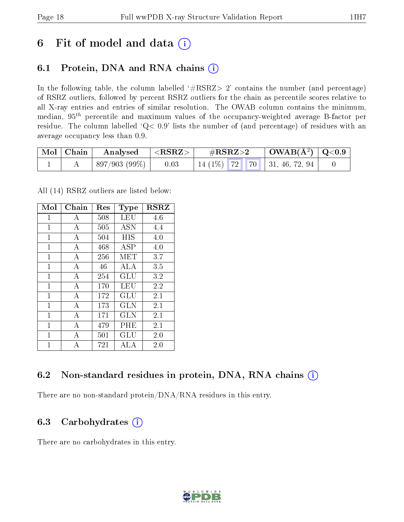## 6 Fit of model and data  $(i)$

## 6.1 Protein, DNA and RNA chains  $(i)$

In the following table, the column labelled  $#RSRZ> 2'$  contains the number (and percentage) of RSRZ outliers, followed by percent RSRZ outliers for the chain as percentile scores relative to all X-ray entries and entries of similar resolution. The OWAB column contains the minimum, median,  $95<sup>th</sup>$  percentile and maximum values of the occupancy-weighted average B-factor per residue. The column labelled ' $Q< 0.9$ ' lists the number of (and percentage) of residues with an average occupancy less than 0.9.

| Mol   Chain | Analysed     | $^\shortparallel < \text{RSRZ} >$ | $\#\text{RSRZ}\text{>2}$       | $\mid$ OWAB(Å <sup>2</sup> ) $\mid$ Q<0.9 |  |
|-------------|--------------|-----------------------------------|--------------------------------|-------------------------------------------|--|
|             | 897/903(99%) | 0.03                              | $14(1\%)$ 72 70 31, 46, 72, 94 |                                           |  |

All (14) RSRZ outliers are listed below:

| Mol          | $Chain$        | Res | <b>Type</b> | <b>RSRZ</b> |
|--------------|----------------|-----|-------------|-------------|
| $\mathbf{1}$ | A              | 508 | LEU         | 4.6         |
| 1            | А              | 505 | <b>ASN</b>  | 4.4         |
| $\mathbf{1}$ | A              | 504 | HIS         | 4.0         |
| $\mathbf{1}$ | $\overline{A}$ | 468 | <b>ASP</b>  | 4.0         |
| $\mathbf{1}$ | A              | 256 | MET         | 3.7         |
| 1            | $\mathbf{A}$   | 46  | ALA         | 3.5         |
| $\mathbf{1}$ | $\bf{A}$       | 254 | GLU         | 3.2         |
| $\mathbf{1}$ | $\bf{A}$       | 170 | <b>LEU</b>  | 2.2         |
| $\mathbf{1}$ | А              | 172 | GLU         | 2.1         |
| $\mathbf{1}$ | $\overline{A}$ | 173 | <b>GLN</b>  | 2.1         |
| $\mathbf{1}$ | А              | 171 | <b>GLN</b>  | 2.1         |
| 1            | $\overline{A}$ | 479 | PHE         | 2.1         |
| 1            | А              | 501 | GLU         | $2.0\,$     |
| 1            | А              | 721 | ALA         | 2.0         |

## 6.2 Non-standard residues in protein, DNA, RNA chains  $(i)$

There are no non-standard protein/DNA/RNA residues in this entry.

### 6.3 Carbohydrates (i)

There are no carbohydrates in this entry.